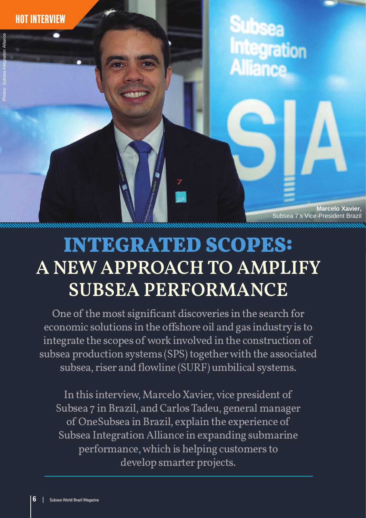hot interview

**Marcelo Xavier,** Subsea 7's Vice-President Brazil

# INTEGRATED SCOPES: **A NEW APPROACH TO AMPLIFY SUBSEA PERFORMANCE**

One of the most significant discoveries in the search for economic solutions in the offshore oil and gas industry is to integrate the scopes of work involved in the construction of subsea production systems (SPS) together with the associated subsea, riser and flowline (SURF) umbilical systems.

In this interview, Marcelo Xavier, vice president of Subsea 7 in Brazil, and Carlos Tadeu, general manager of OneSubsea in Brazil, explain the experience of Subsea Integration Alliance in expanding submarine performance, which is helping customers to develop smarter projects.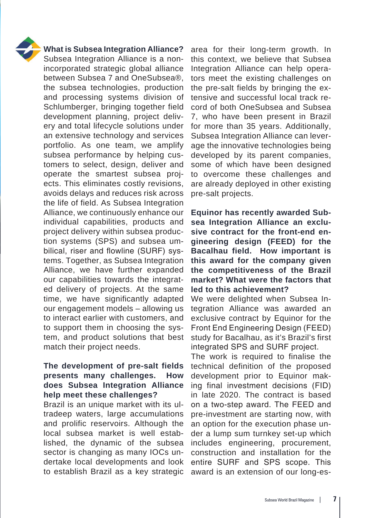

#### **What is Subsea Integration Alliance?**

Subsea Integration Alliance is a nonincorporated strategic global alliance between Subsea 7 and OneSubsea®, the subsea technologies, production and processing systems division of Schlumberger, bringing together field development planning, project delivery and total lifecycle solutions under an extensive technology and services portfolio. As one team, we amplify subsea performance by helping customers to select, design, deliver and operate the smartest subsea projects. This eliminates costly revisions, avoids delays and reduces risk across the life of field. As Subsea Integration Alliance, we continuously enhance our individual capabilities, products and project delivery within subsea production systems (SPS) and subsea umbilical, riser and flowline (SURF) systems. Together, as Subsea Integration Alliance, we have further expanded our capabilities towards the integrated delivery of projects. At the same time, we have significantly adapted our engagement models – allowing us to interact earlier with customers, and to support them in choosing the system, and product solutions that best match their project needs.

### **The development of pre-salt fields presents many challenges. How does Subsea Integration Alliance help meet these challenges?**

Brazil is an unique market with its ultradeep waters, large accumulations and prolific reservoirs. Although the local subsea market is well established, the dynamic of the subsea sector is changing as many IOCs undertake local developments and look to establish Brazil as a key strategic

area for their long-term growth. In this context, we believe that Subsea Integration Alliance can help operators meet the existing challenges on the pre-salt fields by bringing the extensive and successful local track record of both OneSubsea and Subsea 7, who have been present in Brazil for more than 35 years. Additionally, Subsea Integration Alliance can leverage the innovative technologies being developed by its parent companies, some of which have been designed to overcome these challenges and are already deployed in other existing pre-salt projects.

**Equinor has recently awarded Subsea Integration Alliance an exclusive contract for the front-end engineering design (FEED) for the Bacalhau field. How important is this award for the company given the competitiveness of the Brazil market? What were the factors that led to this achievement?**

We were delighted when Subsea Integration Alliance was awarded an exclusive contract by Equinor for the Front End Engineering Design (FEED) study for Bacalhau, as it's Brazil's first integrated SPS and SURF project.

The work is required to finalise the technical definition of the proposed development prior to Equinor making final investment decisions (FID) in late 2020. The contract is based on a two-step award. The FEED and pre-investment are starting now, with an option for the execution phase under a lump sum turnkey set-up which includes engineering, procurement, construction and installation for the entire SURF and SPS scope. This award is an extension of our long-es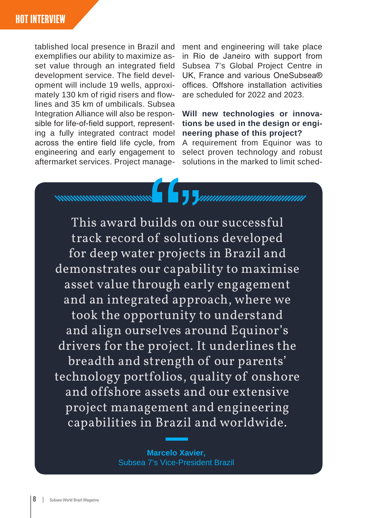tablished local presence in Brazil and exemplifies our ability to maximize asset value through an integrated field development service. The field development will include 19 wells, approximately 130 km of rigid risers and flowlines and 35 km of umbilicals. Subsea Integration Alliance will also be responsible for life-of-field support, representing a fully integrated contract model across the entire field life cycle, from engineering and early engagement to aftermarket services. Project management and engineering will take place in Rio de Janeiro with support from Subsea 7's Global Project Centre in UK, France and various OneSubsea® offices. Offshore installation activities are scheduled for 2022 and 2023.

#### **Will new technologies or innovations be used in the design or engineering phase of this project?**

A requirement from Equinor was to select proven technology and robust solutions in the marked to limit sched-

This award builds on our successful track record of solutions developed for deep water projects in Brazil and demonstrates our capability to maximise asset value through early engagement and an integrated approach, where we took the opportunity to understand and align ourselves around Equinor's drivers for the project. It underlines the breadth and strength of our parents' technology portfolios, quality of onshore and offshore assets and our extensive project management and engineering capabilities in Brazil and worldwide.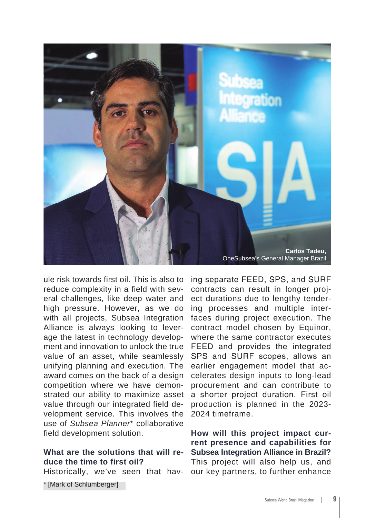

ule risk towards first oil. This is also to reduce complexity in a field with several challenges, like deep water and high pressure. However, as we do with all projects, Subsea Integration Alliance is always looking to leverage the latest in technology development and innovation to unlock the true value of an asset, while seamlessly unifying planning and execution. The award comes on the back of a design competition where we have demonstrated our ability to maximize asset value through our integrated field development service. This involves the use of *Subsea Planner*\* collaborative field development solution.

## **What are the solutions that will reduce the time to first oil?**

Historically, we've seen that hav-

\* [Mark of Schlumberger]

ing separate FEED, SPS, and SURF contracts can result in longer project durations due to lengthy tendering processes and multiple interfaces during project execution. The contract model chosen by Equinor, where the same contractor executes FEED and provides the integrated SPS and SURF scopes, allows an earlier engagement model that accelerates design inputs to long-lead procurement and can contribute to a shorter project duration. First oil production is planned in the 2023- 2024 timeframe.

**How will this project impact current presence and capabilities for Subsea Integration Alliance in Brazil?** This project will also help us, and our key partners, to further enhance